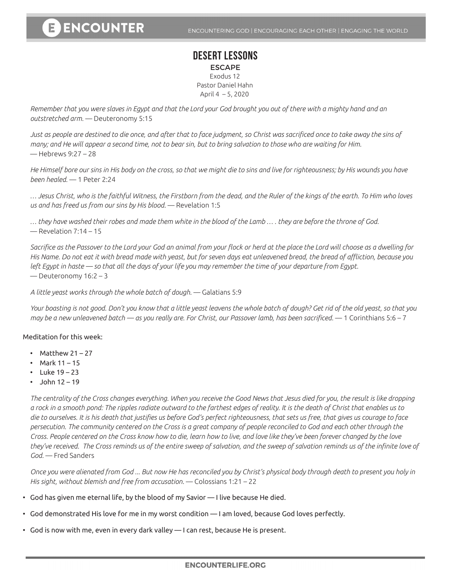## **DESERT LESSONS** ESCAPE Exodus 12 Pastor Daniel Hahn April 4 – 5, 2020

*Remember that you were slaves in Egypt and that the Lord your God brought you out of there with a mighty hand and an outstretched arm.* — Deuteronomy 5:15

*Just as people are destined to die once, and after that to face judgment, so Christ was sacrificed once to take away the sins of many; and He will appear a second time, not to bear sin, but to bring salvation to those who are waiting for Him.*  — Hebrews 9:27 – 28

*He Himself bore our sins in His body on the cross, so that we might die to sins and live for righteousness; by His wounds you have been healed.* — 1 Peter 2:24

*… Jesus Christ, who is the faithful Witness, the Firstborn from the dead, and the Ruler of the kings of the earth. To Him who loves us and has freed us from our sins by His blood.* — Revelation 1:5

*… they have washed their robes and made them white in the blood of the Lamb … . they are before the throne of God.*   $-$  Revelation 7:14 – 15

*Sacrifice as the Passover to the Lord your God an animal from your flock or herd at the place the Lord will choose as a dwelling for His Name. Do not eat it with bread made with yeast, but for seven days eat unleavened bread, the bread of affliction, because you*  left Egypt in haste — so that all the days of your life you may remember the time of your departure from Egypt. — Deuteronomy 16:2 – 3

*A little yeast works through the whole batch of dough.* — Galatians 5:9

*Your boasting is not good. Don't you know that a little yeast leavens the whole batch of dough? Get rid of the old yeast, so that you may be a new unleavened batch — as you really are. For Christ, our Passover lamb, has been sacrificed.* — 1 Corinthians 5:6 – 7

Meditation for this week:

- Matthew  $21 27$
- Mark 11 15
- Luke  $19 23$
- $\cdot$  John 12 19

*The centrality of the Cross changes everything. When you receive the Good News that Jesus died for you, the result is like dropping a rock in a smooth pond: The ripples radiate outward to the farthest edges of reality. It is the death of Christ that enables us to die to ourselves. It is his death that justifies us before God's perfect righteousness, that sets us free, that gives us courage to face persecution. The community centered on the Cross is a great company of people reconciled to God and each other through the Cross. People centered on the Cross know how to die, learn how to live, and love like they've been forever changed by the love they've received. The Cross reminds us of the entire sweep of salvation, and the sweep of salvation reminds us of the infinite love of God.* — Fred Sanders

*Once you were alienated from God ... But now He has reconciled you by Christ's physical body through death to present you holy in His sight, without blemish and free from accusation.* — Colossians 1:21 – 22

- God has given me eternal life, by the blood of my Savior I live because He died.
- God demonstrated His love for me in my worst condition I am loved, because God loves perfectly.
- God is now with me, even in every dark valley I can rest, because He is present.